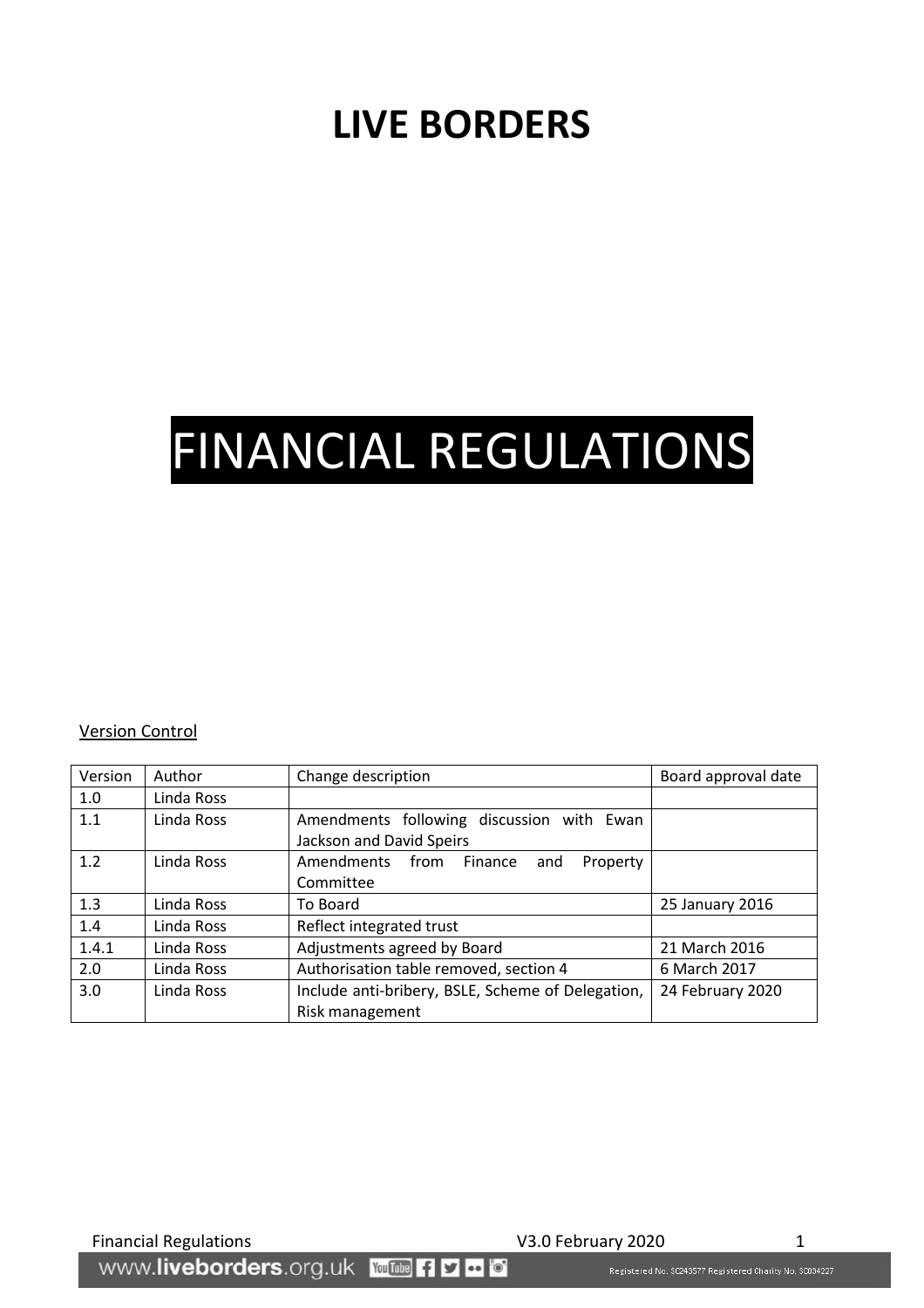## **LIVE BORDERS**

# FINANCIAL REGULATIONS

#### Version Control

| Version | Author     | Change description                                                    | Board approval date |
|---------|------------|-----------------------------------------------------------------------|---------------------|
| 1.0     | Linda Ross |                                                                       |                     |
| 1.1     | Linda Ross | Amendments following discussion with Ewan<br>Jackson and David Speirs |                     |
| 1.2     | Linda Ross | Amendments from Finance<br>Property<br>and<br>Committee               |                     |
| 1.3     | Linda Ross | To Board                                                              | 25 January 2016     |
| 1.4     | Linda Ross | Reflect integrated trust                                              |                     |
| 1.4.1   | Linda Ross | Adjustments agreed by Board                                           | 21 March 2016       |
| 2.0     | Linda Ross | Authorisation table removed, section 4                                | 6 March 2017        |
| 3.0     | Linda Ross | Include anti-bribery, BSLE, Scheme of Delegation,<br>Risk management  | 24 February 2020    |

Registered No. \$C243577 Registered Charity No. \$C034227

Financial Regulations V3.0 February 2020<br>MWW.**liveborders**.org.uk YouTube Filed To The Construction Registered No. SC243577 Registered Charlty No. SC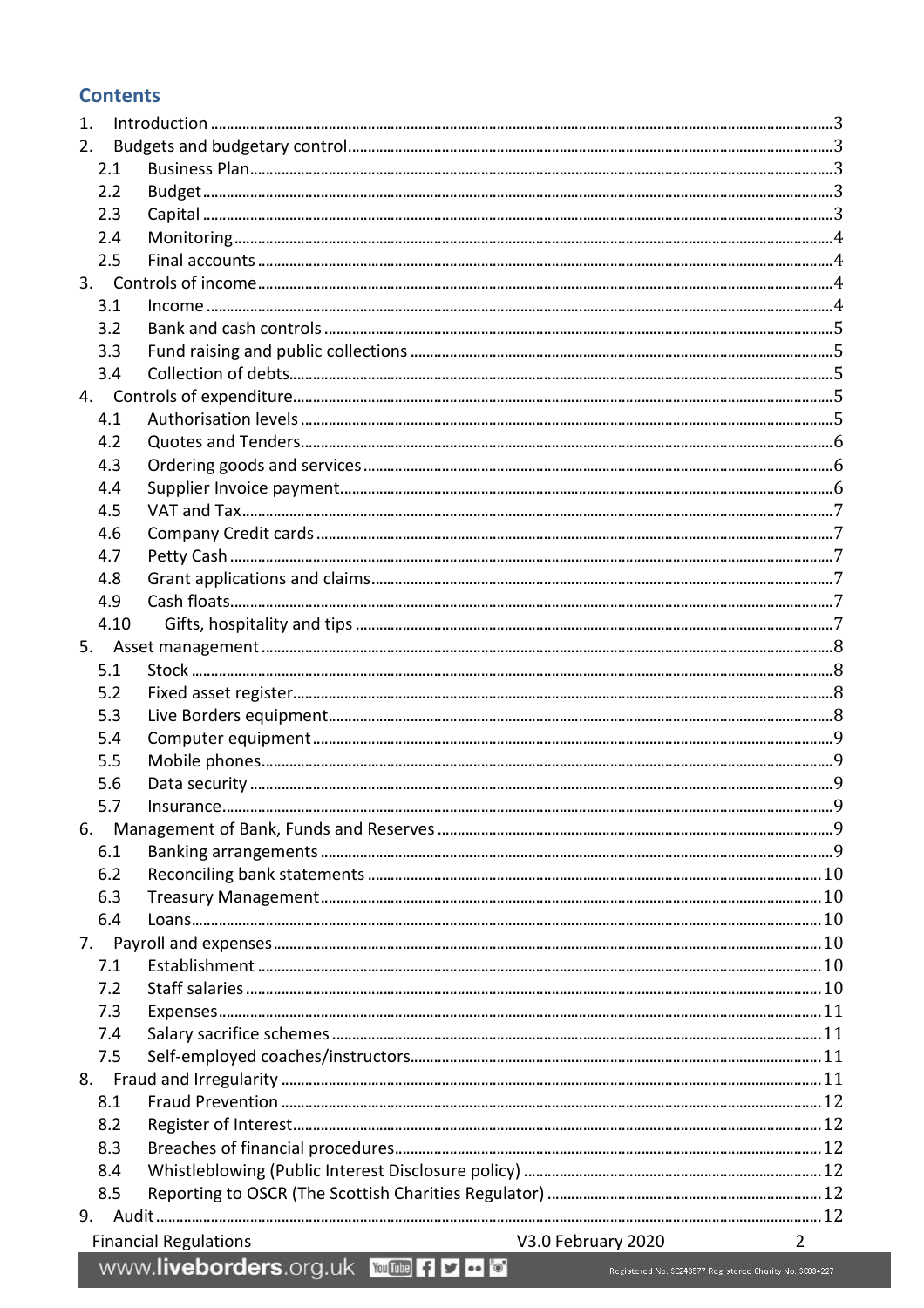#### **Contents**

| $\mathbf{1}$ . |      |                                                    |                                                           |  |  |
|----------------|------|----------------------------------------------------|-----------------------------------------------------------|--|--|
|                | 2.   |                                                    |                                                           |  |  |
|                | 2.1  |                                                    |                                                           |  |  |
|                | 2.2  |                                                    |                                                           |  |  |
|                | 2.3  |                                                    |                                                           |  |  |
|                | 2.4  |                                                    |                                                           |  |  |
|                | 2.5  |                                                    |                                                           |  |  |
|                |      |                                                    |                                                           |  |  |
|                | 3.1  |                                                    |                                                           |  |  |
|                | 3.2  |                                                    |                                                           |  |  |
|                | 3.3  |                                                    |                                                           |  |  |
|                | 3.4  |                                                    |                                                           |  |  |
|                |      |                                                    |                                                           |  |  |
|                | 4.1  |                                                    |                                                           |  |  |
|                | 4.2  |                                                    |                                                           |  |  |
|                | 4.3  |                                                    |                                                           |  |  |
|                | 4.4  |                                                    |                                                           |  |  |
|                | 4.5  |                                                    |                                                           |  |  |
|                | 4.6  |                                                    |                                                           |  |  |
|                | 4.7  |                                                    |                                                           |  |  |
|                | 4.8  |                                                    |                                                           |  |  |
|                | 4.9  |                                                    |                                                           |  |  |
|                | 4.10 |                                                    |                                                           |  |  |
|                |      |                                                    |                                                           |  |  |
|                | 5.1  |                                                    |                                                           |  |  |
|                | 5.2  |                                                    |                                                           |  |  |
|                | 5.3  |                                                    |                                                           |  |  |
|                | 5.4  |                                                    |                                                           |  |  |
|                | 5.5  |                                                    |                                                           |  |  |
|                | 5.6  |                                                    |                                                           |  |  |
|                | 57   | Insurance.                                         | q                                                         |  |  |
| 6.             |      |                                                    |                                                           |  |  |
|                | 6.1  |                                                    |                                                           |  |  |
|                | 6.2  |                                                    |                                                           |  |  |
|                | 6.3  |                                                    |                                                           |  |  |
|                | 6.4  |                                                    |                                                           |  |  |
| 7.             |      |                                                    |                                                           |  |  |
|                | 7.1  |                                                    |                                                           |  |  |
|                | 7.2  |                                                    |                                                           |  |  |
|                | 7.3  |                                                    |                                                           |  |  |
|                | 7.4  |                                                    |                                                           |  |  |
|                | 7.5  |                                                    |                                                           |  |  |
|                |      |                                                    |                                                           |  |  |
|                | 8.1  |                                                    |                                                           |  |  |
|                | 8.2  |                                                    |                                                           |  |  |
|                | 8.3  |                                                    |                                                           |  |  |
|                | 8.4  |                                                    |                                                           |  |  |
|                | 8.5  |                                                    |                                                           |  |  |
| 9.             |      |                                                    |                                                           |  |  |
|                |      | V3.0 February 2020<br><b>Financial Regulations</b> | $\overline{2}$                                            |  |  |
|                |      | WWW.liveborders.org.uk YouTube Fi D - O            | Registered No. \$0243577 Registered Charity No. \$0034227 |  |  |
|                |      |                                                    |                                                           |  |  |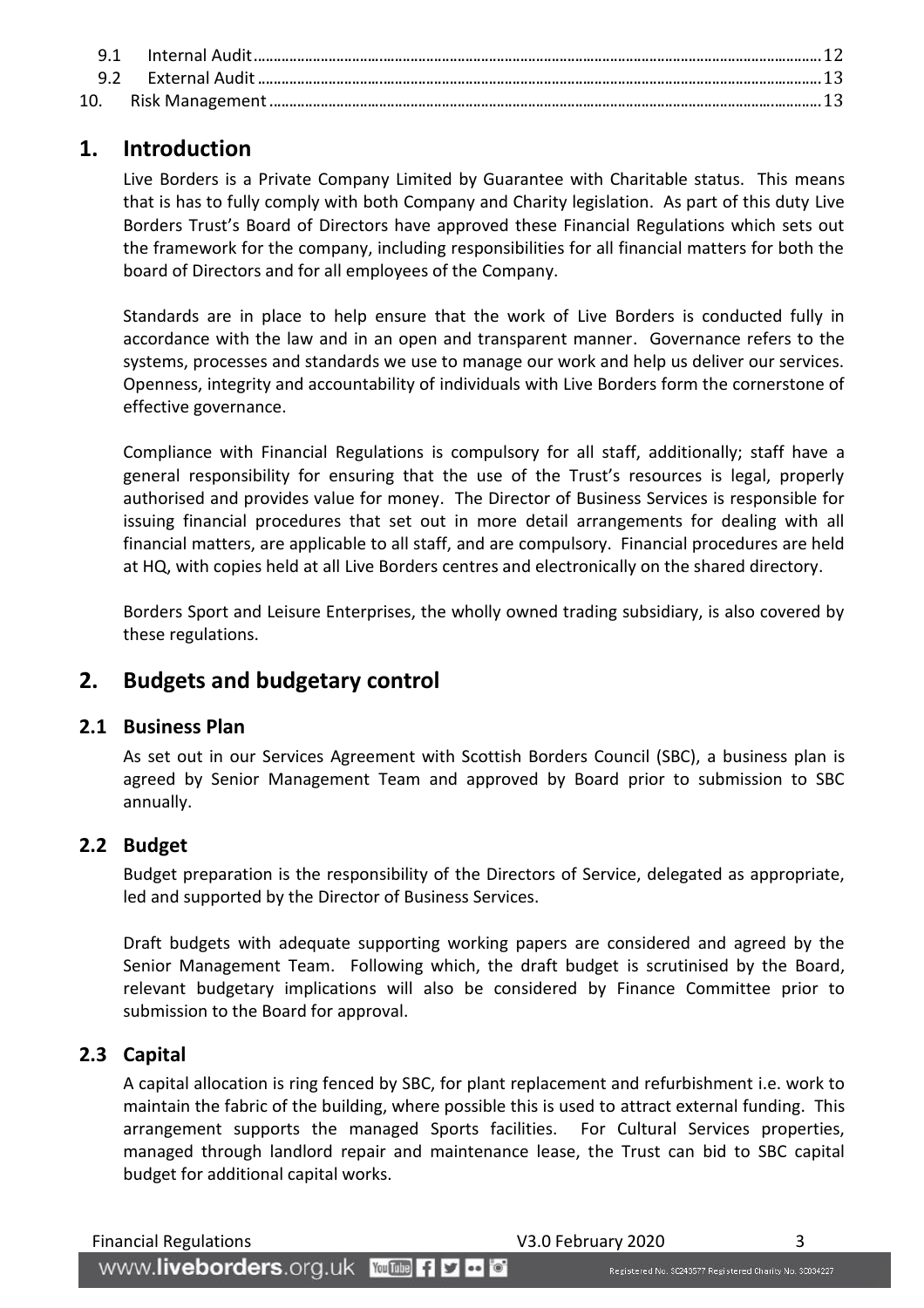## <span id="page-2-0"></span>**1. Introduction**

Live Borders is a Private Company Limited by Guarantee with Charitable status. This means that is has to fully comply with both Company and Charity legislation. As part of this duty Live Borders Trust's Board of Directors have approved these Financial Regulations which sets out the framework for the company, including responsibilities for all financial matters for both the board of Directors and for all employees of the Company.

Standards are in place to help ensure that the work of Live Borders is conducted fully in accordance with the law and in an open and transparent manner. Governance refers to the systems, processes and standards we use to manage our work and help us deliver our services. Openness, integrity and accountability of individuals with Live Borders form the cornerstone of effective governance.

Compliance with Financial Regulations is compulsory for all staff, additionally; staff have a general responsibility for ensuring that the use of the Trust's resources is legal, properly authorised and provides value for money. The Director of Business Services is responsible for issuing financial procedures that set out in more detail arrangements for dealing with all financial matters, are applicable to all staff, and are compulsory. Financial procedures are held at HQ, with copies held at all Live Borders centres and electronically on the shared directory.

Borders Sport and Leisure Enterprises, the wholly owned trading subsidiary, is also covered by these regulations.

## <span id="page-2-1"></span>**2. Budgets and budgetary control**

#### <span id="page-2-2"></span>**2.1 Business Plan**

As set out in our Services Agreement with Scottish Borders Council (SBC), a business plan is agreed by Senior Management Team and approved by Board prior to submission to SBC annually.

#### <span id="page-2-3"></span>**2.2 Budget**

Budget preparation is the responsibility of the Directors of Service, delegated as appropriate, led and supported by the Director of Business Services.

Draft budgets with adequate supporting working papers are considered and agreed by the Senior Management Team. Following which, the draft budget is scrutinised by the Board, relevant budgetary implications will also be considered by Finance Committee prior to submission to the Board for approval.

#### <span id="page-2-4"></span>**2.3 Capital**

A capital allocation is ring fenced by SBC, for plant replacement and refurbishment i.e. work to maintain the fabric of the building, where possible this is used to attract external funding. This arrangement supports the managed Sports facilities. For Cultural Services properties, managed through landlord repair and maintenance lease, the Trust can bid to SBC capital budget for additional capital works.

Financial Regulations 3

WWW.liveborders.org.uk YouTube fly to o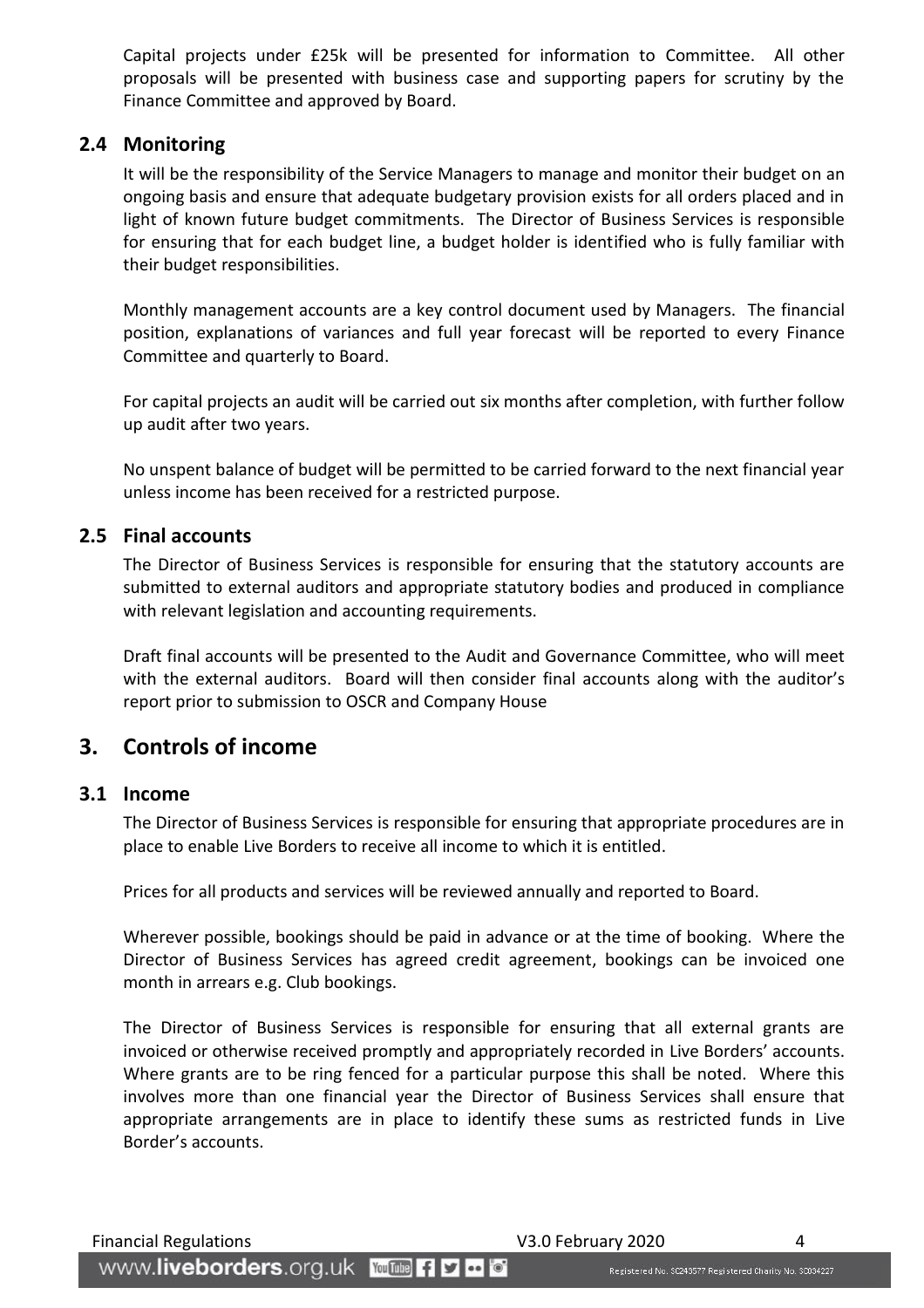Capital projects under £25k will be presented for information to Committee. All other proposals will be presented with business case and supporting papers for scrutiny by the Finance Committee and approved by Board.

#### <span id="page-3-0"></span>**2.4 Monitoring**

It will be the responsibility of the Service Managers to manage and monitor their budget on an ongoing basis and ensure that adequate budgetary provision exists for all orders placed and in light of known future budget commitments. The Director of Business Services is responsible for ensuring that for each budget line, a budget holder is identified who is fully familiar with their budget responsibilities.

Monthly management accounts are a key control document used by Managers. The financial position, explanations of variances and full year forecast will be reported to every Finance Committee and quarterly to Board.

For capital projects an audit will be carried out six months after completion, with further follow up audit after two years.

No unspent balance of budget will be permitted to be carried forward to the next financial year unless income has been received for a restricted purpose.

#### <span id="page-3-1"></span>**2.5 Final accounts**

The Director of Business Services is responsible for ensuring that the statutory accounts are submitted to external auditors and appropriate statutory bodies and produced in compliance with relevant legislation and accounting requirements.

Draft final accounts will be presented to the Audit and Governance Committee, who will meet with the external auditors. Board will then consider final accounts along with the auditor's report prior to submission to OSCR and Company House

#### <span id="page-3-2"></span>**3. Controls of income**

#### <span id="page-3-3"></span>**3.1 Income**

The Director of Business Services is responsible for ensuring that appropriate procedures are in place to enable Live Borders to receive all income to which it is entitled.

Prices for all products and services will be reviewed annually and reported to Board.

Wherever possible, bookings should be paid in advance or at the time of booking. Where the Director of Business Services has agreed credit agreement, bookings can be invoiced one month in arrears e.g. Club bookings.

The Director of Business Services is responsible for ensuring that all external grants are invoiced or otherwise received promptly and appropriately recorded in Live Borders' accounts. Where grants are to be ring fenced for a particular purpose this shall be noted. Where this involves more than one financial year the Director of Business Services shall ensure that appropriate arrangements are in place to identify these sums as restricted funds in Live Border's accounts.

Financial Regulations V3.0 February 2020 4

www.liveborders.org.uk YouTube fiyed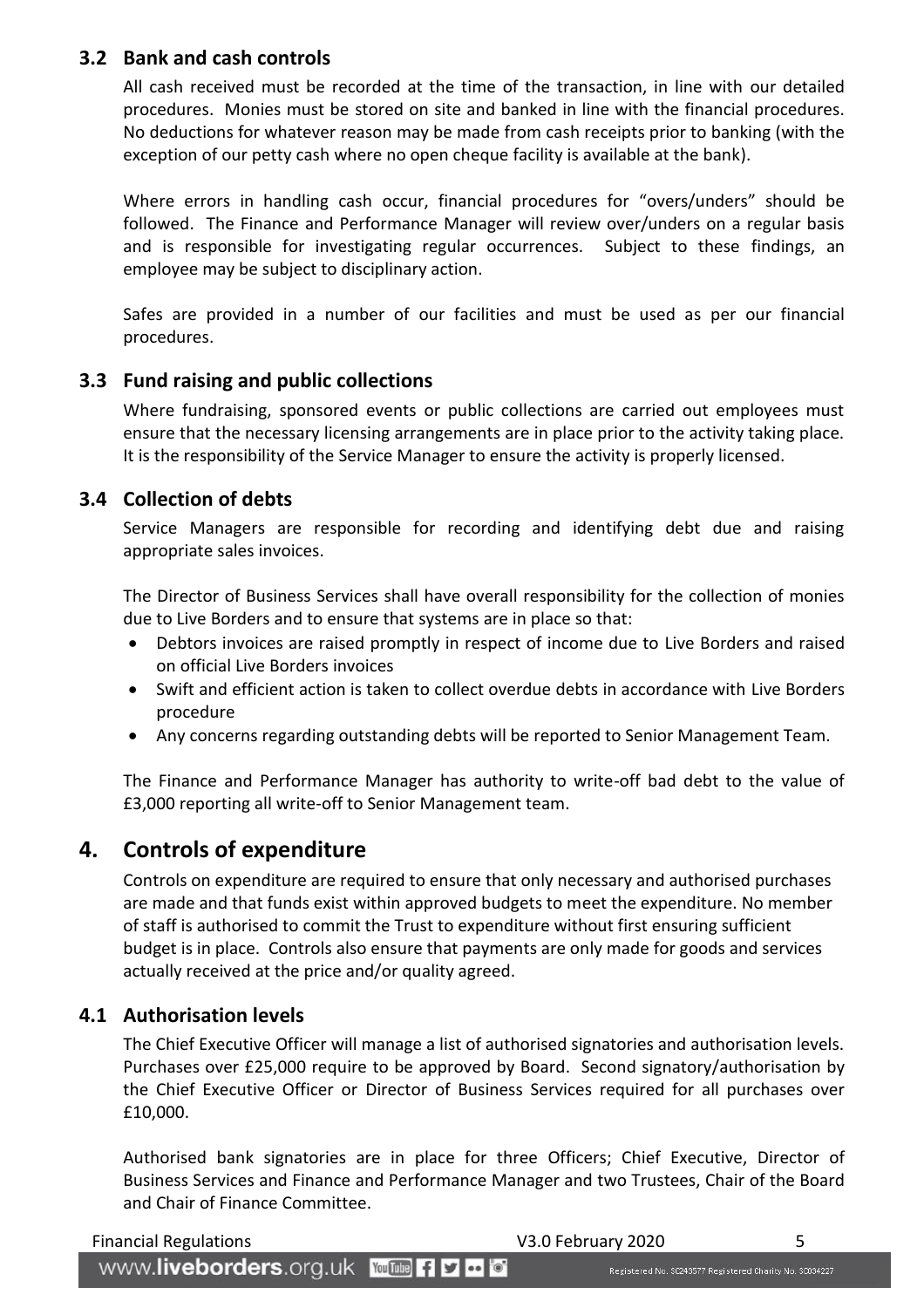#### <span id="page-4-0"></span>**3.2 Bank and cash controls**

All cash received must be recorded at the time of the transaction, in line with our detailed procedures. Monies must be stored on site and banked in line with the financial procedures. No deductions for whatever reason may be made from cash receipts prior to banking (with the exception of our petty cash where no open cheque facility is available at the bank).

Where errors in handling cash occur, financial procedures for "overs/unders" should be followed. The Finance and Performance Manager will review over/unders on a regular basis and is responsible for investigating regular occurrences. Subject to these findings, an employee may be subject to disciplinary action.

Safes are provided in a number of our facilities and must be used as per our financial procedures.

#### <span id="page-4-1"></span>**3.3 Fund raising and public collections**

Where fundraising, sponsored events or public collections are carried out employees must ensure that the necessary licensing arrangements are in place prior to the activity taking place. It is the responsibility of the Service Manager to ensure the activity is properly licensed.

#### <span id="page-4-2"></span>**3.4 Collection of debts**

Service Managers are responsible for recording and identifying debt due and raising appropriate sales invoices.

The Director of Business Services shall have overall responsibility for the collection of monies due to Live Borders and to ensure that systems are in place so that:

- Debtors invoices are raised promptly in respect of income due to Live Borders and raised on official Live Borders invoices
- Swift and efficient action is taken to collect overdue debts in accordance with Live Borders procedure
- Any concerns regarding outstanding debts will be reported to Senior Management Team.

The Finance and Performance Manager has authority to write-off bad debt to the value of £3,000 reporting all write-off to Senior Management team.

#### <span id="page-4-3"></span>**4. Controls of expenditure**

Controls on expenditure are required to ensure that only necessary and authorised purchases are made and that funds exist within approved budgets to meet the expenditure. No member of staff is authorised to commit the Trust to expenditure without first ensuring sufficient budget is in place. Controls also ensure that payments are only made for goods and services actually received at the price and/or quality agreed.

#### <span id="page-4-4"></span>**4.1 Authorisation levels**

The Chief Executive Officer will manage a list of authorised signatories and authorisation levels. Purchases over £25,000 require to be approved by Board. Second signatory/authorisation by the Chief Executive Officer or Director of Business Services required for all purchases over £10,000.

Authorised bank signatories are in place for three Officers; Chief Executive, Director of Business Services and Finance and Performance Manager and two Trustees, Chair of the Board and Chair of Finance Committee.

#### Financial Regulations V3.0 February 2020 5

WWW.liveborders.org.uk YouTube fly to o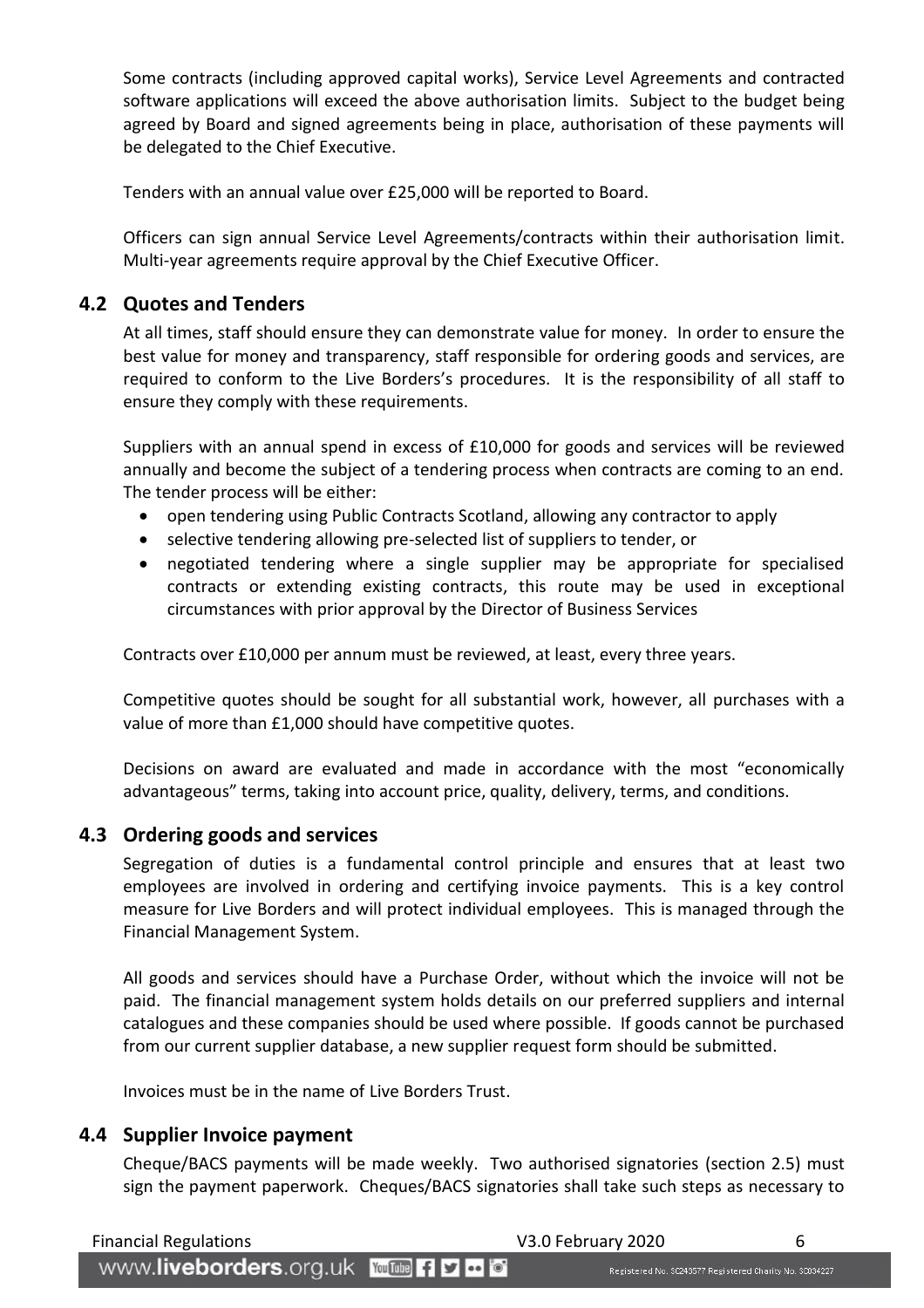Some contracts (including approved capital works), Service Level Agreements and contracted software applications will exceed the above authorisation limits. Subject to the budget being agreed by Board and signed agreements being in place, authorisation of these payments will be delegated to the Chief Executive.

Tenders with an annual value over £25,000 will be reported to Board.

Officers can sign annual Service Level Agreements/contracts within their authorisation limit. Multi-year agreements require approval by the Chief Executive Officer.

#### <span id="page-5-0"></span>**4.2 Quotes and Tenders**

At all times, staff should ensure they can demonstrate value for money. In order to ensure the best value for money and transparency, staff responsible for ordering goods and services, are required to conform to the Live Borders's procedures. It is the responsibility of all staff to ensure they comply with these requirements.

Suppliers with an annual spend in excess of £10,000 for goods and services will be reviewed annually and become the subject of a tendering process when contracts are coming to an end. The tender process will be either:

- open tendering using Public Contracts Scotland, allowing any contractor to apply
- selective tendering allowing pre-selected list of suppliers to tender, or
- negotiated tendering where a single supplier may be appropriate for specialised contracts or extending existing contracts, this route may be used in exceptional circumstances with prior approval by the Director of Business Services

Contracts over £10,000 per annum must be reviewed, at least, every three years.

Competitive quotes should be sought for all substantial work, however, all purchases with a value of more than £1,000 should have competitive quotes.

Decisions on award are evaluated and made in accordance with the most "economically advantageous" terms, taking into account price, quality, delivery, terms, and conditions.

#### <span id="page-5-1"></span>**4.3 Ordering goods and services**

Segregation of duties is a fundamental control principle and ensures that at least two employees are involved in ordering and certifying invoice payments. This is a key control measure for Live Borders and will protect individual employees. This is managed through the Financial Management System.

All goods and services should have a Purchase Order, without which the invoice will not be paid. The financial management system holds details on our preferred suppliers and internal catalogues and these companies should be used where possible. If goods cannot be purchased from our current supplier database, a new supplier request form should be submitted.

Invoices must be in the name of Live Borders Trust.

#### <span id="page-5-2"></span>**4.4 Supplier Invoice payment**

Cheque/BACS payments will be made weekly. Two authorised signatories (section 2.5) must sign the payment paperwork. Cheques/BACS signatories shall take such steps as necessary to

| <b>Financial Regulations</b> |  |
|------------------------------|--|
|                              |  |

Financial Regulations V3.0 February 2020 6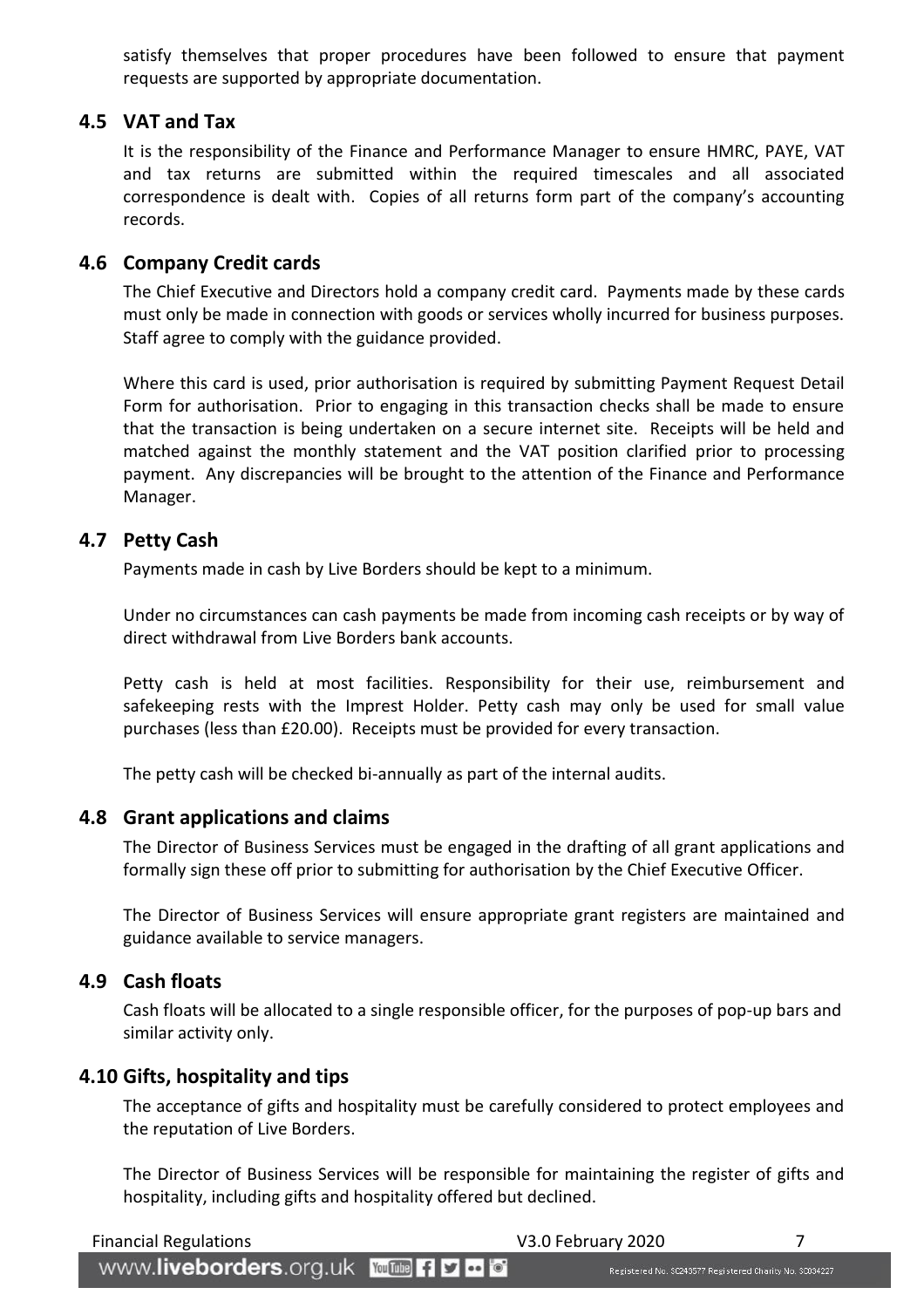satisfy themselves that proper procedures have been followed to ensure that payment requests are supported by appropriate documentation.

#### <span id="page-6-0"></span>**4.5 VAT and Tax**

It is the responsibility of the Finance and Performance Manager to ensure HMRC, PAYE, VAT and tax returns are submitted within the required timescales and all associated correspondence is dealt with. Copies of all returns form part of the company's accounting records.

#### <span id="page-6-1"></span>**4.6 Company Credit cards**

The Chief Executive and Directors hold a company credit card. Payments made by these cards must only be made in connection with goods or services wholly incurred for business purposes. Staff agree to comply with the guidance provided.

Where this card is used, prior authorisation is required by submitting Payment Request Detail Form for authorisation. Prior to engaging in this transaction checks shall be made to ensure that the transaction is being undertaken on a secure internet site. Receipts will be held and matched against the monthly statement and the VAT position clarified prior to processing payment. Any discrepancies will be brought to the attention of the Finance and Performance Manager.

#### <span id="page-6-2"></span>**4.7 Petty Cash**

Payments made in cash by Live Borders should be kept to a minimum.

Under no circumstances can cash payments be made from incoming cash receipts or by way of direct withdrawal from Live Borders bank accounts.

Petty cash is held at most facilities. Responsibility for their use, reimbursement and safekeeping rests with the Imprest Holder. Petty cash may only be used for small value purchases (less than £20.00). Receipts must be provided for every transaction.

The petty cash will be checked bi-annually as part of the internal audits.

#### <span id="page-6-3"></span>**4.8 Grant applications and claims**

The Director of Business Services must be engaged in the drafting of all grant applications and formally sign these off prior to submitting for authorisation by the Chief Executive Officer.

The Director of Business Services will ensure appropriate grant registers are maintained and guidance available to service managers.

#### <span id="page-6-4"></span>**4.9 Cash floats**

Cash floats will be allocated to a single responsible officer, for the purposes of pop-up bars and similar activity only.

#### <span id="page-6-5"></span>**4.10 Gifts, hospitality and tips**

The acceptance of gifts and hospitality must be carefully considered to protect employees and the reputation of Live Borders.

The Director of Business Services will be responsible for maintaining the register of gifts and hospitality, including gifts and hospitality offered but declined.

| <b>Financial Regulations</b>                  | V3.0 February 2020                                      |  |
|-----------------------------------------------|---------------------------------------------------------|--|
| WWW.liveborders.org.uk YouTube f <b>y</b> a o | Registered No. SC243577 Registered Charity No. SC034227 |  |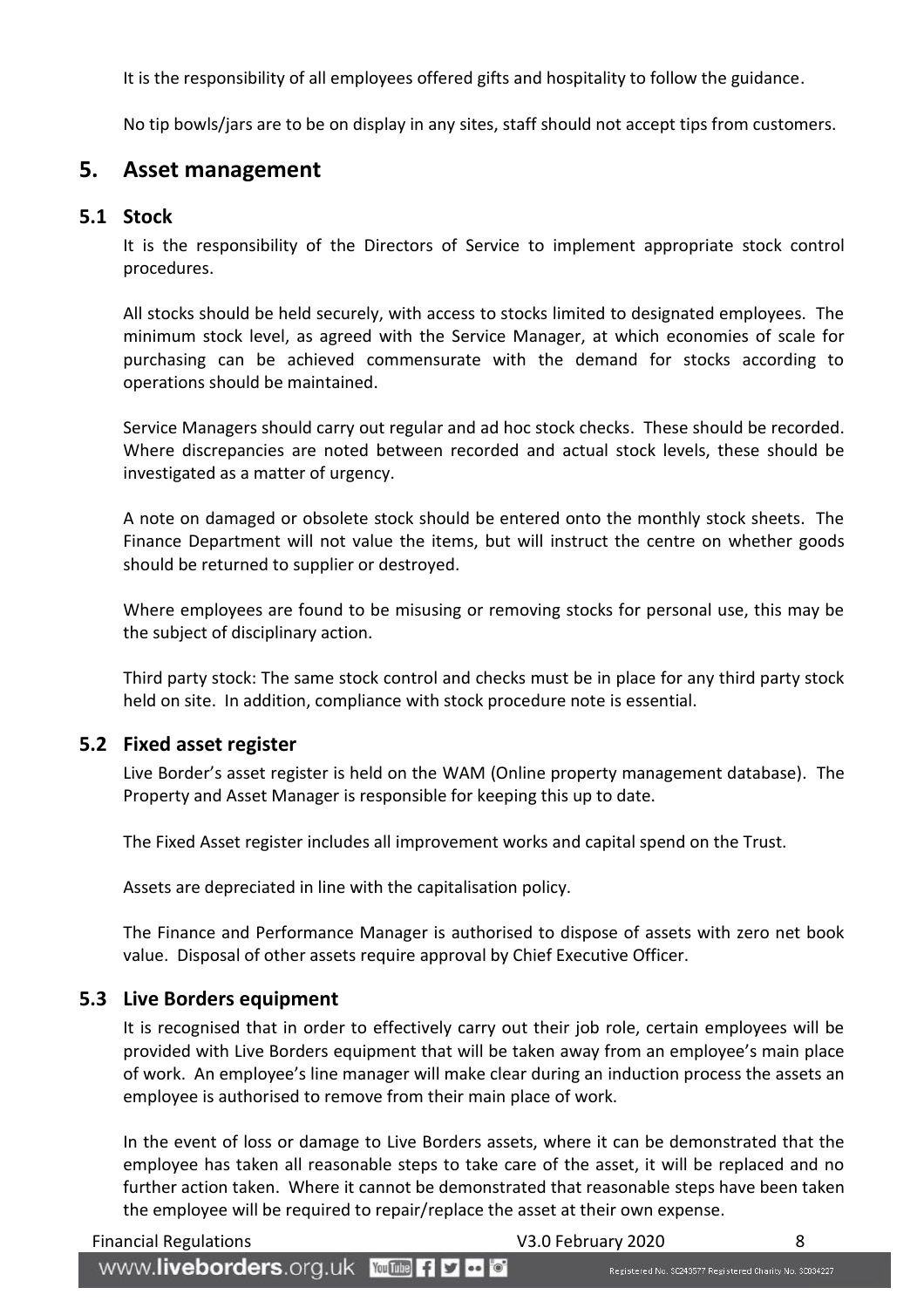It is the responsibility of all employees offered gifts and hospitality to follow the guidance.

No tip bowls/jars are to be on display in any sites, staff should not accept tips from customers.

#### <span id="page-7-0"></span>**5. Asset management**

#### <span id="page-7-1"></span>**5.1 Stock**

It is the responsibility of the Directors of Service to implement appropriate stock control procedures.

All stocks should be held securely, with access to stocks limited to designated employees. The minimum stock level, as agreed with the Service Manager, at which economies of scale for purchasing can be achieved commensurate with the demand for stocks according to operations should be maintained.

Service Managers should carry out regular and ad hoc stock checks. These should be recorded. Where discrepancies are noted between recorded and actual stock levels, these should be investigated as a matter of urgency.

A note on damaged or obsolete stock should be entered onto the monthly stock sheets. The Finance Department will not value the items, but will instruct the centre on whether goods should be returned to supplier or destroyed.

Where employees are found to be misusing or removing stocks for personal use, this may be the subject of disciplinary action.

Third party stock: The same stock control and checks must be in place for any third party stock held on site. In addition, compliance with stock procedure note is essential.

#### <span id="page-7-2"></span>**5.2 Fixed asset register**

Live Border's asset register is held on the WAM (Online property management database). The Property and Asset Manager is responsible for keeping this up to date.

The Fixed Asset register includes all improvement works and capital spend on the Trust.

Assets are depreciated in line with the capitalisation policy.

The Finance and Performance Manager is authorised to dispose of assets with zero net book value. Disposal of other assets require approval by Chief Executive Officer.

#### <span id="page-7-3"></span>**5.3 Live Borders equipment**

It is recognised that in order to effectively carry out their job role, certain employees will be provided with Live Borders equipment that will be taken away from an employee's main place of work. An employee's line manager will make clear during an induction process the assets an employee is authorised to remove from their main place of work.

In the event of loss or damage to Live Borders assets, where it can be demonstrated that the employee has taken all reasonable steps to take care of the asset, it will be replaced and no further action taken. Where it cannot be demonstrated that reasonable steps have been taken the employee will be required to repair/replace the asset at their own expense.

Registered No. \$C243577 Registered Charity No. \$0034227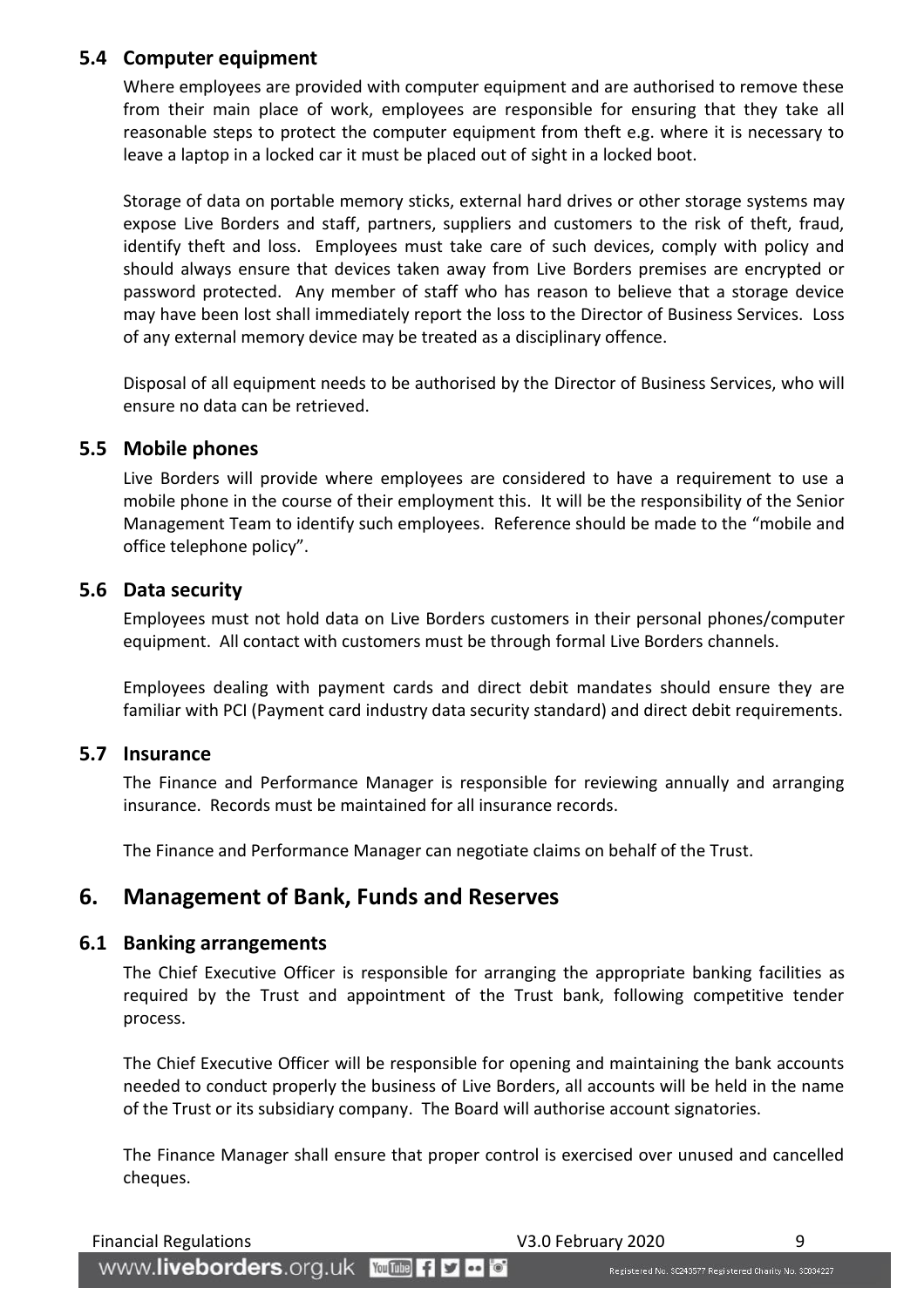#### <span id="page-8-0"></span>**5.4 Computer equipment**

Where employees are provided with computer equipment and are authorised to remove these from their main place of work, employees are responsible for ensuring that they take all reasonable steps to protect the computer equipment from theft e.g. where it is necessary to leave a laptop in a locked car it must be placed out of sight in a locked boot.

Storage of data on portable memory sticks, external hard drives or other storage systems may expose Live Borders and staff, partners, suppliers and customers to the risk of theft, fraud, identify theft and loss. Employees must take care of such devices, comply with policy and should always ensure that devices taken away from Live Borders premises are encrypted or password protected. Any member of staff who has reason to believe that a storage device may have been lost shall immediately report the loss to the Director of Business Services. Loss of any external memory device may be treated as a disciplinary offence.

Disposal of all equipment needs to be authorised by the Director of Business Services, who will ensure no data can be retrieved.

#### <span id="page-8-1"></span>**5.5 Mobile phones**

Live Borders will provide where employees are considered to have a requirement to use a mobile phone in the course of their employment this. It will be the responsibility of the Senior Management Team to identify such employees. Reference should be made to the "mobile and office telephone policy".

#### <span id="page-8-2"></span>**5.6 Data security**

Employees must not hold data on Live Borders customers in their personal phones/computer equipment. All contact with customers must be through formal Live Borders channels.

Employees dealing with payment cards and direct debit mandates should ensure they are familiar with PCI (Payment card industry data security standard) and direct debit requirements.

#### <span id="page-8-3"></span>**5.7 Insurance**

The Finance and Performance Manager is responsible for reviewing annually and arranging insurance. Records must be maintained for all insurance records.

The Finance and Performance Manager can negotiate claims on behalf of the Trust.

#### <span id="page-8-4"></span>**6. Management of Bank, Funds and Reserves**

#### <span id="page-8-5"></span>**6.1 Banking arrangements**

The Chief Executive Officer is responsible for arranging the appropriate banking facilities as required by the Trust and appointment of the Trust bank, following competitive tender process.

The Chief Executive Officer will be responsible for opening and maintaining the bank accounts needed to conduct properly the business of Live Borders, all accounts will be held in the name of the Trust or its subsidiary company. The Board will authorise account signatories.

The Finance Manager shall ensure that proper control is exercised over unused and cancelled cheques.

Financial Regulations and Society and Society V3.0 February 2020 9

www.liveborders.org.uk YouTube fiyed

Registered No. \$C243577 Registered Charity No. \$0034227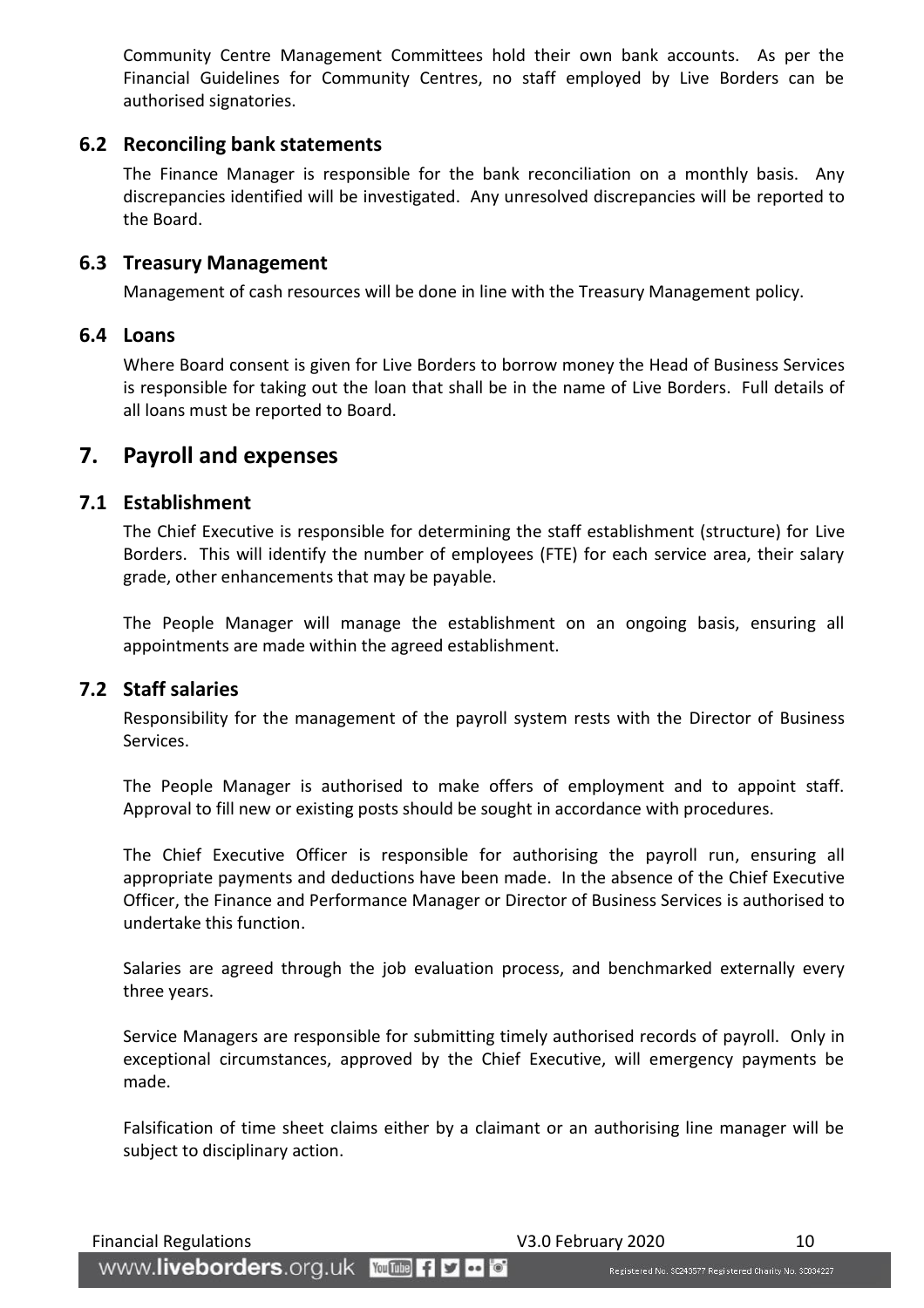Community Centre Management Committees hold their own bank accounts. As per the Financial Guidelines for Community Centres, no staff employed by Live Borders can be authorised signatories.

#### <span id="page-9-0"></span>**6.2 Reconciling bank statements**

The Finance Manager is responsible for the bank reconciliation on a monthly basis. Any discrepancies identified will be investigated. Any unresolved discrepancies will be reported to the Board.

#### <span id="page-9-1"></span>**6.3 Treasury Management**

Management of cash resources will be done in line with the Treasury Management policy.

#### <span id="page-9-2"></span>**6.4 Loans**

Where Board consent is given for Live Borders to borrow money the Head of Business Services is responsible for taking out the loan that shall be in the name of Live Borders. Full details of all loans must be reported to Board.

#### <span id="page-9-3"></span>**7. Payroll and expenses**

#### <span id="page-9-4"></span>**7.1 Establishment**

The Chief Executive is responsible for determining the staff establishment (structure) for Live Borders. This will identify the number of employees (FTE) for each service area, their salary grade, other enhancements that may be payable.

The People Manager will manage the establishment on an ongoing basis, ensuring all appointments are made within the agreed establishment.

#### <span id="page-9-5"></span>**7.2 Staff salaries**

Responsibility for the management of the payroll system rests with the Director of Business Services.

The People Manager is authorised to make offers of employment and to appoint staff. Approval to fill new or existing posts should be sought in accordance with procedures.

The Chief Executive Officer is responsible for authorising the payroll run, ensuring all appropriate payments and deductions have been made. In the absence of the Chief Executive Officer, the Finance and Performance Manager or Director of Business Services is authorised to undertake this function.

Salaries are agreed through the job evaluation process, and benchmarked externally every three years.

Service Managers are responsible for submitting timely authorised records of payroll. Only in exceptional circumstances, approved by the Chief Executive, will emergency payments be made.

Falsification of time sheet claims either by a claimant or an authorising line manager will be subject to disciplinary action.

www.liveborders.org.uk YouTube fiyed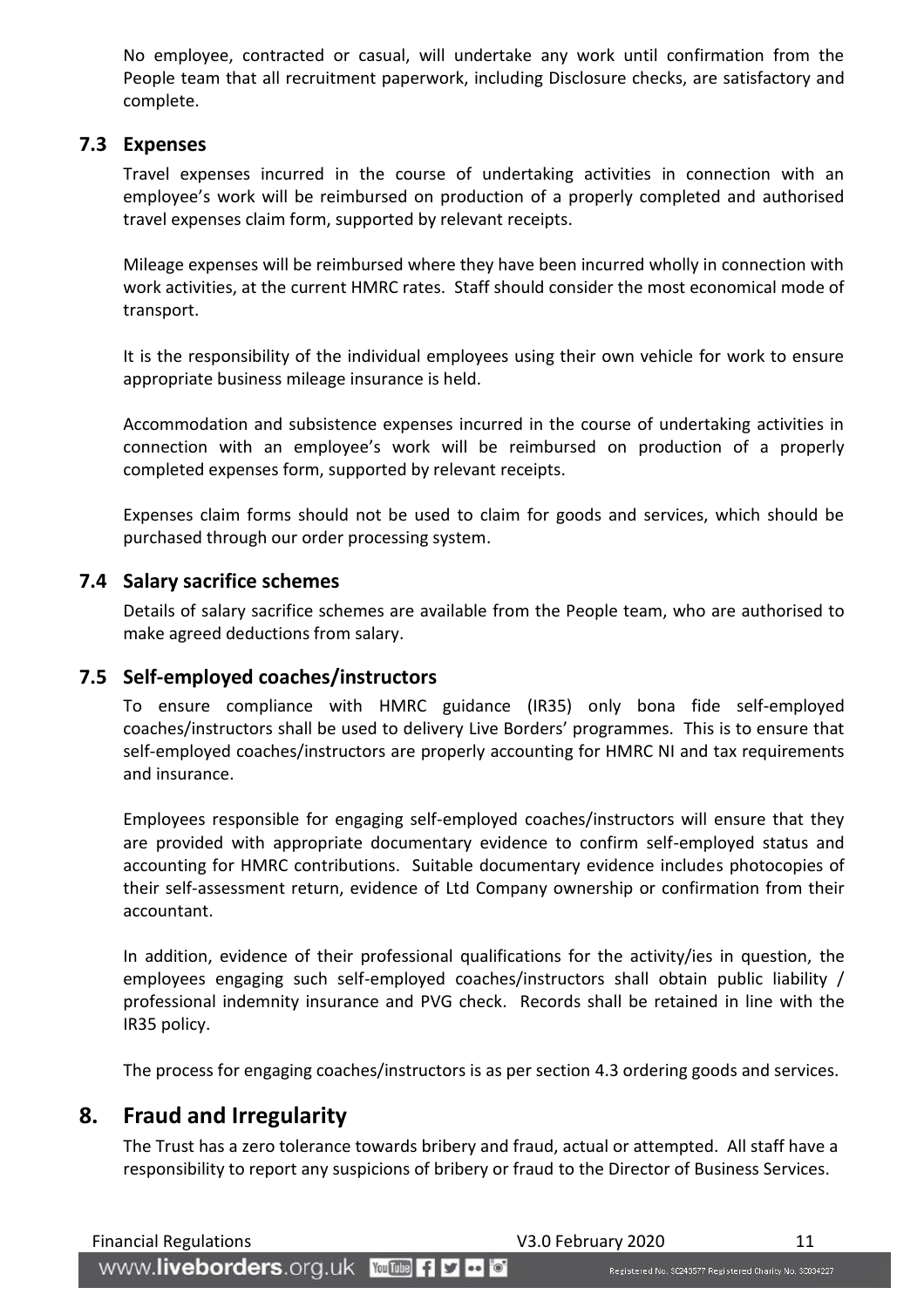No employee, contracted or casual, will undertake any work until confirmation from the People team that all recruitment paperwork, including Disclosure checks, are satisfactory and complete.

#### <span id="page-10-0"></span>**7.3 Expenses**

Travel expenses incurred in the course of undertaking activities in connection with an employee's work will be reimbursed on production of a properly completed and authorised travel expenses claim form, supported by relevant receipts.

Mileage expenses will be reimbursed where they have been incurred wholly in connection with work activities, at the current HMRC rates. Staff should consider the most economical mode of transport.

It is the responsibility of the individual employees using their own vehicle for work to ensure appropriate business mileage insurance is held.

Accommodation and subsistence expenses incurred in the course of undertaking activities in connection with an employee's work will be reimbursed on production of a properly completed expenses form, supported by relevant receipts.

Expenses claim forms should not be used to claim for goods and services, which should be purchased through our order processing system.

#### <span id="page-10-1"></span>**7.4 Salary sacrifice schemes**

Details of salary sacrifice schemes are available from the People team, who are authorised to make agreed deductions from salary.

#### <span id="page-10-2"></span>**7.5 Self-employed coaches/instructors**

To ensure compliance with HMRC guidance (IR35) only bona fide self-employed coaches/instructors shall be used to delivery Live Borders' programmes. This is to ensure that self-employed coaches/instructors are properly accounting for HMRC NI and tax requirements and insurance.

Employees responsible for engaging self-employed coaches/instructors will ensure that they are provided with appropriate documentary evidence to confirm self-employed status and accounting for HMRC contributions. Suitable documentary evidence includes photocopies of their self-assessment return, evidence of Ltd Company ownership or confirmation from their accountant.

In addition, evidence of their professional qualifications for the activity/ies in question, the employees engaging such self-employed coaches/instructors shall obtain public liability / professional indemnity insurance and PVG check. Records shall be retained in line with the IR35 policy.

The process for engaging coaches/instructors is as per section 4.3 ordering goods and services.

#### <span id="page-10-3"></span>**8. Fraud and Irregularity**

The Trust has a zero tolerance towards bribery and fraud, actual or attempted. All staff have a responsibility to report any suspicions of bribery or fraud to the Director of Business Services.

Financial Regulations 11

WWW.liveborders.org.uk YouTube fly to o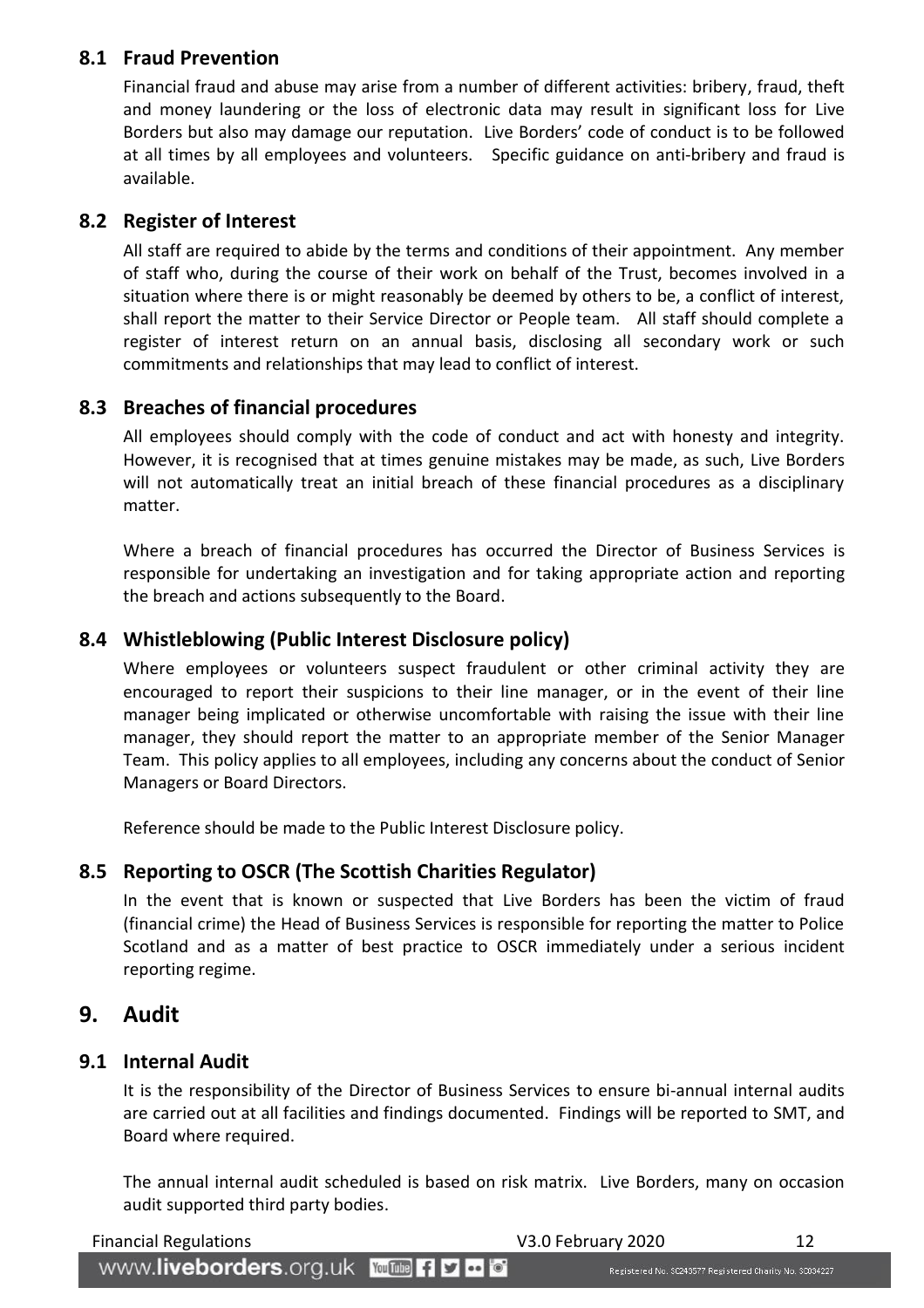#### <span id="page-11-0"></span>**8.1 Fraud Prevention**

Financial fraud and abuse may arise from a number of different activities: bribery, fraud, theft and money laundering or the loss of electronic data may result in significant loss for Live Borders but also may damage our reputation. Live Borders' code of conduct is to be followed at all times by all employees and volunteers. Specific guidance on anti-bribery and fraud is available.

#### <span id="page-11-1"></span>**8.2 Register of Interest**

All staff are required to abide by the terms and conditions of their appointment. Any member of staff who, during the course of their work on behalf of the Trust, becomes involved in a situation where there is or might reasonably be deemed by others to be, a conflict of interest, shall report the matter to their Service Director or People team. All staff should complete a register of interest return on an annual basis, disclosing all secondary work or such commitments and relationships that may lead to conflict of interest.

#### <span id="page-11-2"></span>**8.3 Breaches of financial procedures**

All employees should comply with the code of conduct and act with honesty and integrity. However, it is recognised that at times genuine mistakes may be made, as such, Live Borders will not automatically treat an initial breach of these financial procedures as a disciplinary matter.

Where a breach of financial procedures has occurred the Director of Business Services is responsible for undertaking an investigation and for taking appropriate action and reporting the breach and actions subsequently to the Board.

#### <span id="page-11-3"></span>**8.4 Whistleblowing (Public Interest Disclosure policy)**

Where employees or volunteers suspect fraudulent or other criminal activity they are encouraged to report their suspicions to their line manager, or in the event of their line manager being implicated or otherwise uncomfortable with raising the issue with their line manager, they should report the matter to an appropriate member of the Senior Manager Team. This policy applies to all employees, including any concerns about the conduct of Senior Managers or Board Directors.

Reference should be made to the Public Interest Disclosure policy.

#### <span id="page-11-4"></span>**8.5 Reporting to OSCR (The Scottish Charities Regulator)**

In the event that is known or suspected that Live Borders has been the victim of fraud (financial crime) the Head of Business Services is responsible for reporting the matter to Police Scotland and as a matter of best practice to OSCR immediately under a serious incident reporting regime.

#### <span id="page-11-5"></span>**9. Audit**

#### <span id="page-11-6"></span>**9.1 Internal Audit**

It is the responsibility of the Director of Business Services to ensure bi-annual internal audits are carried out at all facilities and findings documented. Findings will be reported to SMT, and Board where required.

The annual internal audit scheduled is based on risk matrix. Live Borders, many on occasion audit supported third party bodies.

| <b>Financial Regulations</b>             | V3.0 February 2020                                        |  |
|------------------------------------------|-----------------------------------------------------------|--|
| WWW.liveborders.org.uk YouTube Fi D to 6 | Registered No. \$C243577 Registered Charity No. \$0034227 |  |